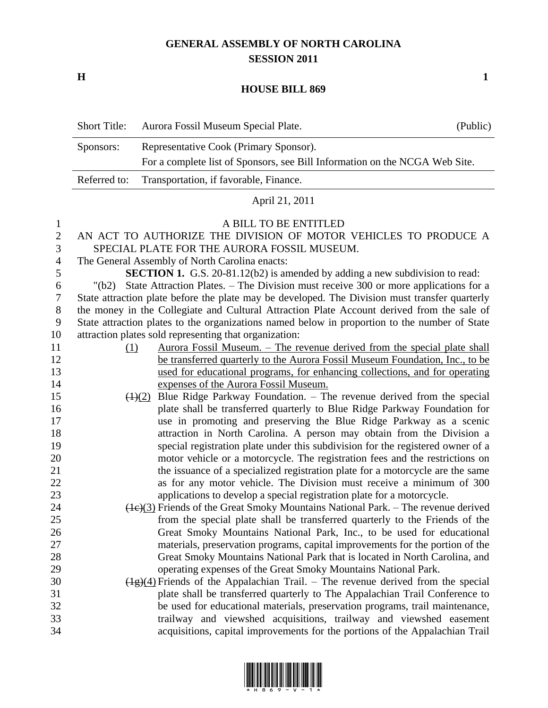## **GENERAL ASSEMBLY OF NORTH CAROLINA SESSION 2011**

**H 1**

## **HOUSE BILL 869**

| <b>Short Title:</b> | Aurora Fossil Museum Special Plate.                                         | (Public) |
|---------------------|-----------------------------------------------------------------------------|----------|
| Sponsors:           | Representative Cook (Primary Sponsor).                                      |          |
|                     | For a complete list of Sponsors, see Bill Information on the NCGA Web Site. |          |
|                     | Referred to: Transportation, if favorable, Finance.                         |          |

## April 21, 2011

## A BILL TO BE ENTITLED

- AN ACT TO AUTHORIZE THE DIVISION OF MOTOR VEHICLES TO PRODUCE A SPECIAL PLATE FOR THE AURORA FOSSIL MUSEUM.
- The General Assembly of North Carolina enacts:

**SECTION 1.** G.S. 20-81.12(b2) is amended by adding a new subdivision to read:

 "(b2) State Attraction Plates. – The Division must receive 300 or more applications for a State attraction plate before the plate may be developed. The Division must transfer quarterly the money in the Collegiate and Cultural Attraction Plate Account derived from the sale of State attraction plates to the organizations named below in proportion to the number of State attraction plates sold representing that organization:

- (1) Aurora Fossil Museum. The revenue derived from the special plate shall 12 be transferred quarterly to the Aurora Fossil Museum Foundation, Inc., to be used for educational programs, for enhancing collections, and for operating expenses of the Aurora Fossil Museum.
- 15  $\left(\frac{1}{2}\right)$  Blue Ridge Parkway Foundation. The revenue derived from the special plate shall be transferred quarterly to Blue Ridge Parkway Foundation for use in promoting and preserving the Blue Ridge Parkway as a scenic attraction in North Carolina. A person may obtain from the Division a special registration plate under this subdivision for the registered owner of a motor vehicle or a motorcycle. The registration fees and the restrictions on the issuance of a specialized registration plate for a motorcycle are the same 22 as for any motor vehicle. The Division must receive a minimum of 300 applications to develop a special registration plate for a motorcycle.
- (1c)(3) Friends of the Great Smoky Mountains National Park. The revenue derived from the special plate shall be transferred quarterly to the Friends of the Great Smoky Mountains National Park, Inc., to be used for educational materials, preservation programs, capital improvements for the portion of the Great Smoky Mountains National Park that is located in North Carolina, and operating expenses of the Great Smoky Mountains National Park.
- 30  $(\frac{1}{2})(4)$  Friends of the Appalachian Trail. The revenue derived from the special plate shall be transferred quarterly to The Appalachian Trail Conference to be used for educational materials, preservation programs, trail maintenance, trailway and viewshed acquisitions, trailway and viewshed easement acquisitions, capital improvements for the portions of the Appalachian Trail